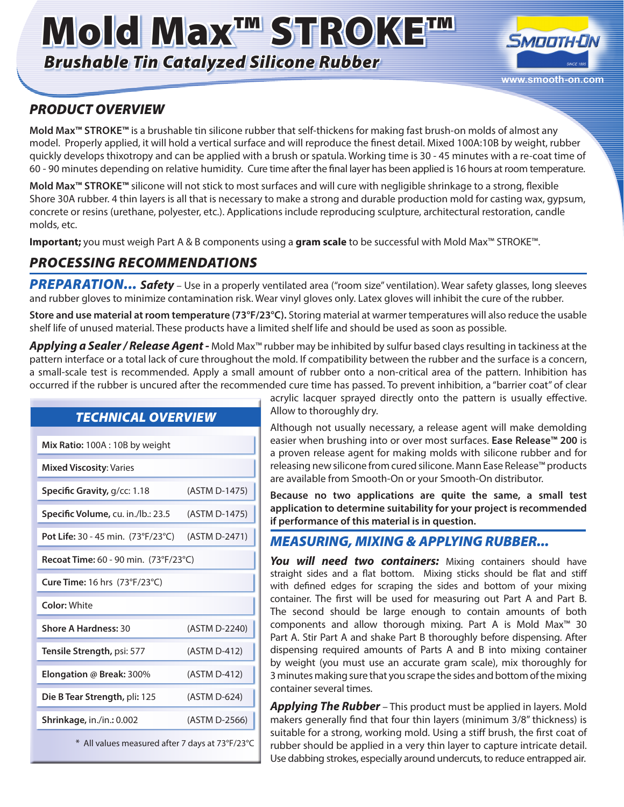# Mold Max™ STROKE™

*Brushable Tin Catalyzed Silicone Rubber*



## *PRODUCT OVERVIEW*

**Mold Max™ STROKE™** is a brushable tin silicone rubber that self-thickens for making fast brush-on molds of almost any model. Properly applied, it will hold a vertical surface and will reproduce the finest detail. Mixed 100A:10B by weight, rubber quickly develops thixotropy and can be applied with a brush or spatula. Working time is 30 - 45 minutes with a re-coat time of 60 - 90 minutes depending on relative humidity. Cure time after the final layer has been applied is 16 hours at room temperature.

**Mold Max™ STROKE™** silicone will not stick to most surfaces and will cure with negligible shrinkage to a strong, flexible Shore 30A rubber. 4 thin layers is all that is necessary to make a strong and durable production mold for casting wax, gypsum, concrete or resins (urethane, polyester, etc.). Applications include reproducing sculpture, architectural restoration, candle molds, etc.

**Important;** you must weigh Part A & B components using a **gram scale** to be successful with Mold Max™ STROKE™.

#### *PROCESSING RECOMMENDATIONS*

PREPARATION... Safety - Use in a properly ventilated area ("room size" ventilation). Wear safety glasses, long sleeves and rubber gloves to minimize contamination risk. Wear vinyl gloves only. Latex gloves will inhibit the cure of the rubber.

**Store and use material at room temperature (73°F/23°C).** Storing material at warmer temperatures will also reduce the usable shelf life of unused material. These products have a limited shelf life and should be used as soon as possible.

*Applying a Sealer / Release Agent -* Mold Max™ rubber may be inhibited by sulfur based clays resulting in tackiness at the pattern interface or a total lack of cure throughout the mold. If compatibility between the rubber and the surface is a concern, a small-scale test is recommended. Apply a small amount of rubber onto a non-critical area of the pattern. Inhibition has occurred if the rubber is uncured after the recommended cure time has passed. To prevent inhibition, a "barrier coat" of clear

#### *TECHNICAL OVERVIEW*

| Mix Ratio: 100A: 10B by weight               |               |
|----------------------------------------------|---------------|
| <b>Mixed Viscosity: Varies</b>               |               |
| Specific Gravity, g/cc: 1.18                 | (ASTM D-1475) |
| Specific Volume, cu. in./lb.: 23.5           | (ASTM D-1475) |
| <b>Pot Life:</b> 30 - 45 min. (73°F/23°C)    | (ASTM D-2471) |
| <b>Recoat Time:</b> 60 - 90 min. (73°F/23°C) |               |
| Cure Time: 16 hrs (73°F/23°C)                |               |
| Color: White                                 |               |
| <b>Shore A Hardness: 30</b>                  | (ASTM D-2240) |
|                                              |               |
| Tensile Strength, psi: 577                   | (ASTM D-412)  |
| <b>Elongation @ Break: 300%</b>              | (ASTM D-412)  |
| Die B Tear Strength, pli: 125                | (ASTM D-624)  |
| Shrinkage, in./in.: 0.002                    | (ASTM D-2566) |

acrylic lacquer sprayed directly onto the pattern is usually effective. Allow to thoroughly dry.

Although not usually necessary, a release agent will make demolding easier when brushing into or over most surfaces. **Ease Release™ 200** is a proven release agent for making molds with silicone rubber and for releasing new silicone from cured silicone. Mann Ease Release™ products are available from Smooth-On or your Smooth-On distributor.

**Because no two applications are quite the same, a small test application to determine suitability for your project is recommended if performance of this material is in question.** 

#### *MEASURING, MIXING & APPLYING RUBBER...*

You will need two containers: Mixing containers should have straight sides and a flat bottom. Mixing sticks should be flat and stiff with defined edges for scraping the sides and bottom of your mixing container. The first will be used for measuring out Part A and Part B. The second should be large enough to contain amounts of both components and allow thorough mixing. Part A is Mold Max™ 30 Part A. Stir Part A and shake Part B thoroughly before dispensing. After dispensing required amounts of Parts A and B into mixing container by weight (you must use an accurate gram scale), mix thoroughly for 3 minutes making sure that you scrape the sides and bottom of the mixing container several times.

*Applying The Rubber* – This product must be applied in layers. Mold makers generally find that four thin layers (minimum 3/8" thickness) is suitable for a strong, working mold. Using a stiff brush, the first coat of rubber should be applied in a very thin layer to capture intricate detail. Use dabbing strokes, especially around undercuts, to reduce entrapped air.